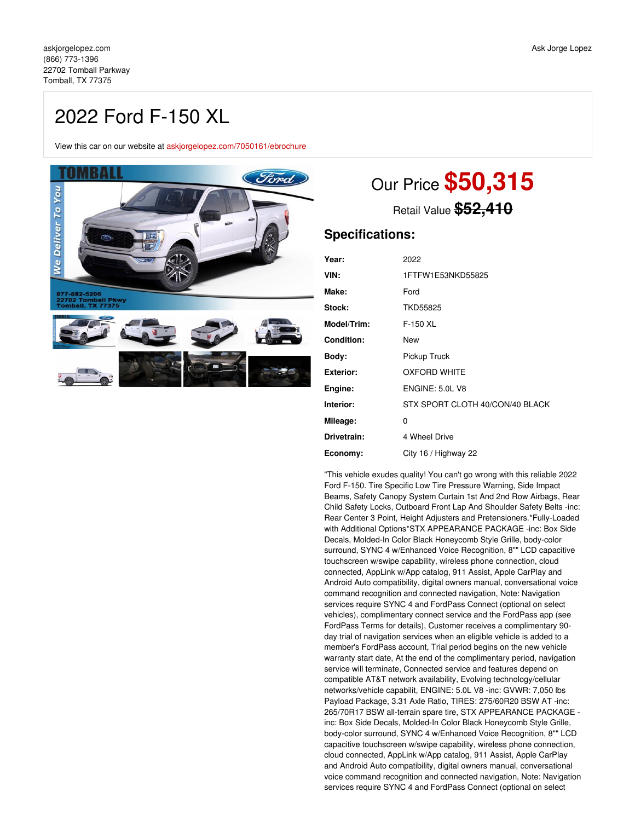## 2022 Ford F-150 XL

View this car on our website at [askjorgelopez.com/7050161/ebrochure](https://askjorgelopez.com/vehicle/7050161/2022-ford-f-150-xl-tomball-tx-77375/7050161/ebrochure)



# Our Price **\$50,315**

Retail Value **\$52,410**

### **Specifications:**

| Year:             | 2022                            |
|-------------------|---------------------------------|
| VIN:              | 1FTFW1E53NKD55825               |
| Make:             | Ford                            |
| Stock:            | <b>TKD55825</b>                 |
| Model/Trim:       | $F-150$ XL                      |
| <b>Condition:</b> | New                             |
| Body:             | Pickup Truck                    |
| Exterior:         | <b>OXFORD WHITE</b>             |
| Engine:           | <b>ENGINE: 5.0L V8</b>          |
| Interior:         | STX SPORT CLOTH 40/CON/40 BLACK |
| Mileage:          | 0                               |
| Drivetrain:       | 4 Wheel Drive                   |
| Economy:          | City 16 / Highway 22            |
|                   |                                 |

"This vehicle exudes quality! You can't go wrong with this reliable 2022 Ford F-150. Tire Specific Low Tire Pressure Warning, Side Impact Beams, Safety Canopy System Curtain 1st And 2nd Row Airbags, Rear Child Safety Locks, Outboard Front Lap And Shoulder Safety Belts -inc: Rear Center 3 Point, Height Adjusters and Pretensioners.\*Fully-Loaded with Additional Options\*STX APPEARANCE PACKAGE -inc: Box Side Decals, Molded-In Color Black Honeycomb Style Grille, body-color surround, SYNC 4 w/Enhanced Voice Recognition, 8"" LCD capacitive touchscreen w/swipe capability, wireless phone connection, cloud connected, AppLink w/App catalog, 911 Assist, Apple CarPlay and Android Auto compatibility, digital owners manual, conversational voice command recognition and connected navigation, Note: Navigation services require SYNC 4 and FordPass Connect (optional on select vehicles), complimentary connect service and the FordPass app (see FordPass Terms for details), Customer receives a complimentary 90 day trial of navigation services when an eligible vehicle is added to a member's FordPass account, Trial period begins on the new vehicle warranty start date, At the end of the complimentary period, navigation service will terminate, Connected service and features depend on compatible AT&T network availability, Evolving technology/cellular networks/vehicle capabilit, ENGINE: 5.0L V8 -inc: GVWR: 7,050 lbs Payload Package, 3.31 Axle Ratio, TIRES: 275/60R20 BSW AT -inc: 265/70R17 BSW all-terrain spare tire, STX APPEARANCE PACKAGE inc: Box Side Decals, Molded-In Color Black Honeycomb Style Grille, body-color surround, SYNC 4 w/Enhanced Voice Recognition, 8"" LCD capacitive touchscreen w/swipe capability, wireless phone connection, cloud connected, AppLink w/App catalog, 911 Assist, Apple CarPlay and Android Auto compatibility, digital owners manual, conversational voice command recognition and connected navigation, Note: Navigation services require SYNC 4 and FordPass Connect (optional on select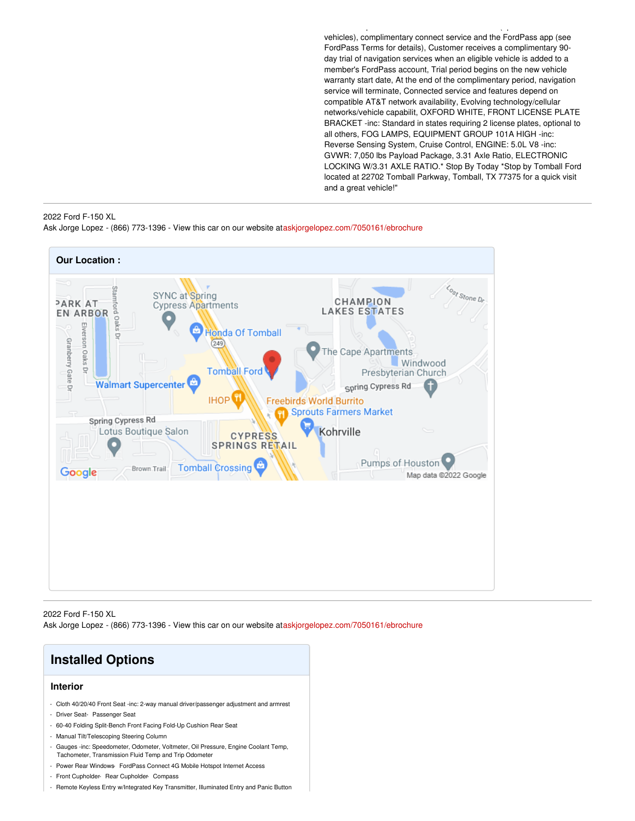vehicles), complimentary connect service and the FordPass app (see FordPass Terms for details), Customer receives a complimentary 90 day trial of navigation services when an eligible vehicle is added to a member's FordPass account, Trial period begins on the new vehicle warranty start date, At the end of the complimentary period, navigation service will terminate, Connected service and features depend on compatible AT&T network availability, Evolving technology/cellular networks/vehicle capabilit, OXFORD WHITE, FRONT LICENSE PLATE BRACKET -inc: Standard in states requiring 2 license plates, optional to all others, FOG LAMPS, EQUIPMENT GROUP 101A HIGH -inc: Reverse Sensing System, Cruise Control, ENGINE: 5.0L V8 -inc: GVWR: 7,050 lbs Payload Package, 3.31 Axle Ratio, ELECTRONIC LOCKING W/3.31 AXLE RATIO.\* Stop By Today \*Stop by Tomball Ford located at 22702 Tomball Parkway, Tomball, TX 77375 for a quick visit and a great vehicle!"

services require SYNC 4 and FordPass Connect (optional on select

#### 2022 Ford F-150 XL Ask Jorge Lopez - (866) 773-1396 - View this car on our website at[askjorgelopez.com/7050161/ebrochure](https://askjorgelopez.com/vehicle/7050161/2022-ford-f-150-xl-tomball-tx-77375/7050161/ebrochure)



2022 Ford F-150 XL Ask Jorge Lopez - (866) 773-1396 - View this car on our website at[askjorgelopez.com/7050161/ebrochure](https://askjorgelopez.com/vehicle/7050161/2022-ford-f-150-xl-tomball-tx-77375/7050161/ebrochure)



- Remote Keyless Entry w/Integrated Key Transmitter, Illuminated Entry and Panic Button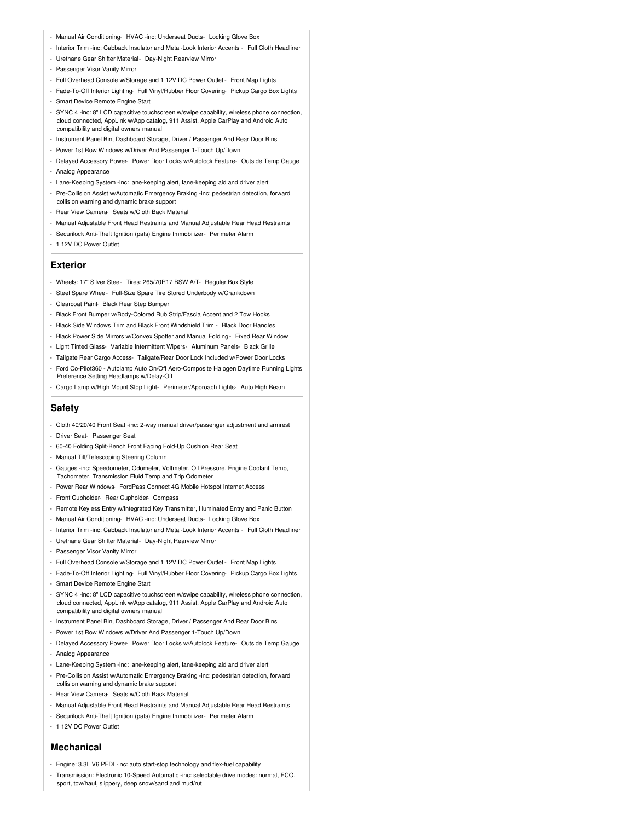- Manual Air Conditioning- HVAC -inc: Underseat Ducts- Locking Glove Box
- Interior Trim -inc: Cabback Insulator and Metal-Look Interior Accents Full Cloth Headliner
- Urethane Gear Shifter Material- Day-Night Rearview Mirror
- Passenger Visor Vanity Mirror
- Full Overhead Console w/Storage and 1 12V DC Power Outlet Front Map Lights
- Fade-To-Off Interior Lighting- Full Vinyl/Rubber Floor Covering- Pickup Cargo Box Lights - Smart Device Remote Engine Start
- 
- SYNC 4 -inc: 8" LCD capacitive touchscreen w/swipe capability, wireless phone connection, cloud connected, AppLink w/App catalog, 911 Assist, Apple CarPlay and Android Auto compatibility and digital owners manual
- Instrument Panel Bin, Dashboard Storage, Driver / Passenger And Rear Door Bins
- Power 1st Row Windows w/Driver And Passenger 1-Touch Up/Down
- Delayed Accessory Power- Power Door Locks w/Autolock Feature- Outside Temp Gauge - Analog Appearance
- Lane-Keeping System -inc: lane-keeping alert, lane-keeping aid and driver alert
- Pre-Collision Assist w/Automatic Emergency Braking -inc: pedestrian detection, forward collision warning and dynamic brake support
- Rear View Camera- Seats w/Cloth Back Material
- Manual Adjustable Front Head Restraints and Manual Adjustable Rear Head Restraints
- Securilock Anti-Theft Ignition (pats) Engine Immobilizer- Perimeter Alarm
- 1 12V DC Power Outlet

#### **Exterior**

- Wheels: 17" Silver Steel- Tires: 265/70R17 BSW A/T- Regular Box Style
- Steel Spare Wheel- Full-Size Spare Tire Stored Underbody w/Crankdown
- Clearcoat Paint- Black Rear Step Bumper
- Black Front Bumper w/Body-Colored Rub Strip/Fascia Accent and 2 Tow Hooks
- Black Side Windows Trim and Black Front Windshield Trim Black Door Handles
- Black Power Side Mirrors w/Convex Spotter and Manual Folding Fixed Rear Window
- Light Tinted Glass- Variable Intermittent Wipers- Aluminum Panels- Black Grille
- Tailgate Rear Cargo Access- Tailgate/Rear Door Lock Included w/Power Door Locks - Ford Co-Pilot360 - Autolamp Auto On/Off Aero-Composite Halogen Daytime Running Lights
- Preference Setting Headlamps w/Delay-Off
- Cargo Lamp w/High Mount Stop Light- Perimeter/Approach Lights- Auto High Beam

#### **Safety**

- Cloth 40/20/40 Front Seat -inc: 2-way manual driver/passenger adjustment and armrest
- Driver Seat- Passenger Seat
- 60-40 Folding Split-Bench Front Facing Fold-Up Cushion Rear Seat
- Manual Tilt/Telescoping Steering Column
- Gauges -inc: Speedometer, Odometer, Voltmeter, Oil Pressure, Engine Coolant Temp, Tachometer, Transmission Fluid Temp and Trip Odometer
- Power Rear Windows- FordPass Connect 4G Mobile Hotspot Internet Access
- Front Cupholder- Rear Cupholder- Compass
- Remote Keyless Entry w/Integrated Key Transmitter, Illuminated Entry and Panic Button
- Manual Air Conditioning- HVAC -inc: Underseat Ducts- Locking Glove Box
- Interior Trim -inc: Cabback Insulator and Metal-Look Interior Accents Full Cloth Headliner
- Urethane Gear Shifter Material- Day-Night Rearview Mirror
- Passenger Visor Vanity Mirror
- Full Overhead Console w/Storage and 1 12V DC Power Outlet Front Map Lights
- Fade-To-Off Interior Lighting- Full Vinyl/Rubber Floor Covering- Pickup Cargo Box Lights
- Smart Device Remote Engine Start
- SYNC 4 -inc: 8" LCD capacitive touchscreen w/swipe capability, wireless phone connection, cloud connected, AppLink w/App catalog, 911 Assist, Apple CarPlay and Android Auto compatibility and digital owners manual
- Instrument Panel Bin, Dashboard Storage, Driver / Passenger And Rear Door Bins
- Power 1st Row Windows w/Driver And Passenger 1-Touch Up/Down
- Delayed Accessory Power- Power Door Locks w/Autolock Feature- Outside Temp Gauge - Analog Appearance
- Lane-Keeping System -inc: lane-keeping alert, lane-keeping aid and driver alert
- Pre-Collision Assist w/Automatic Emergency Braking -inc: pedestrian detection, forward collision warning and dynamic brake support
- Rear View Camera- Seats w/Cloth Back Material
- Manual Adjustable Front Head Restraints and Manual Adjustable Rear Head Restraints
- Securilock Anti-Theft Ignition (pats) Engine Immobilizer- Perimeter Alarm
- 1 12V DC Power Outlet

#### **Mechanical**

- Engine: 3.3L V6 PFDI -inc: auto start-stop technology and flex-fuel capability
- Transmission: Electronic 10-Speed Automatic -inc: selectable drive modes: normal, ECO, sport, tow/haul, slippery, deep snow/sand and mud/rut